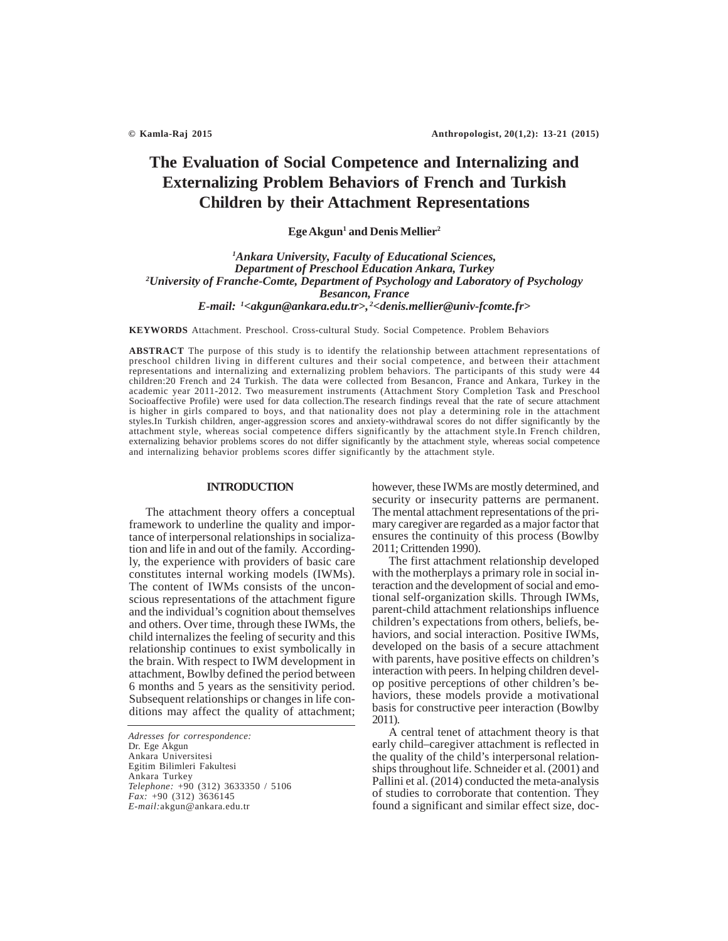# **The Evaluation of Social Competence and Internalizing and Externalizing Problem Behaviors of French and Turkish Children by their Attachment Representations**

 $E$ ge Akgun<sup>1</sup> and Denis Mellier<sup>2</sup>

*1 Ankara University, Faculty of Educational Sciences, Department of Preschool Education Ankara, Turkey 2 University of Franche-Comte, Department of Psychology and Laboratory of Psychology Besancon, France E-mail: 1 <akgun@ankara.edu.tr>, 2<denis.mellier@univ-fcomte.fr>*

**KEYWORDS** Attachment. Preschool. Cross-cultural Study. Social Competence. Problem Behaviors

**ABSTRACT** The purpose of this study is to identify the relationship between attachment representations of preschool children living in different cultures and their social competence, and between their attachment representations and internalizing and externalizing problem behaviors. The participants of this study were 44 children:20 French and 24 Turkish. The data were collected from Besancon, France and Ankara, Turkey in the academic year 2011-2012. Two measurement instruments (Attachment Story Completion Task and Preschool Socioaffective Profile) were used for data collection.The research findings reveal that the rate of secure attachment is higher in girls compared to boys, and that nationality does not play a determining role in the attachment styles.In Turkish children, anger-aggression scores and anxiety-withdrawal scores do not differ significantly by the attachment style, whereas social competence differs significantly by the attachment style.In French children, externalizing behavior problems scores do not differ significantly by the attachment style, whereas social competence and internalizing behavior problems scores differ significantly by the attachment style.

## **INTRODUCTION**

The attachment theory offers a conceptual framework to underline the quality and importance of interpersonal relationships in socialization and life in and out of the family. Accordingly, the experience with providers of basic care constitutes internal working models (IWMs). The content of IWMs consists of the unconscious representations of the attachment figure and the individual's cognition about themselves and others. Over time, through these IWMs, the child internalizes the feeling of security and this relationship continues to exist symbolically in the brain. With respect to IWM development in attachment, Bowlby defined the period between 6 months and 5 years as the sensitivity period. Subsequent relationships or changes in life conditions may affect the quality of attachment;

*Adresses for correspondence:* Dr. Ege Akgun Ankara Universitesi Egitim Bilimleri Fakultesi Ankara Turkey *Telephone:* +90 (312) 3633350 / 5106 *Fax:* +90 (312) 3636145 *E-mail:*akgun@ankara.edu.tr

however, these IWMs are mostly determined, and security or insecurity patterns are permanent. The mental attachment representations of the primary caregiver are regarded as a major factor that ensures the continuity of this process (Bowlby 2011; Crittenden 1990).

The first attachment relationship developed with the motherplays a primary role in social interaction and the development of social and emotional self-organization skills. Through IWMs, parent-child attachment relationships influence children's expectations from others, beliefs, behaviors, and social interaction. Positive IWMs, developed on the basis of a secure attachment with parents, have positive effects on children's interaction with peers. In helping children develop positive perceptions of other children's behaviors, these models provide a motivational basis for constructive peer interaction (Bowlby 2011).

A central tenet of attachment theory is that early child–caregiver attachment is reflected in the quality of the child's interpersonal relationships throughout life. Schneider et al. (2001) and Pallini et al. (2014) conducted the meta-analysis of studies to corroborate that contention. They found a significant and similar effect size, doc-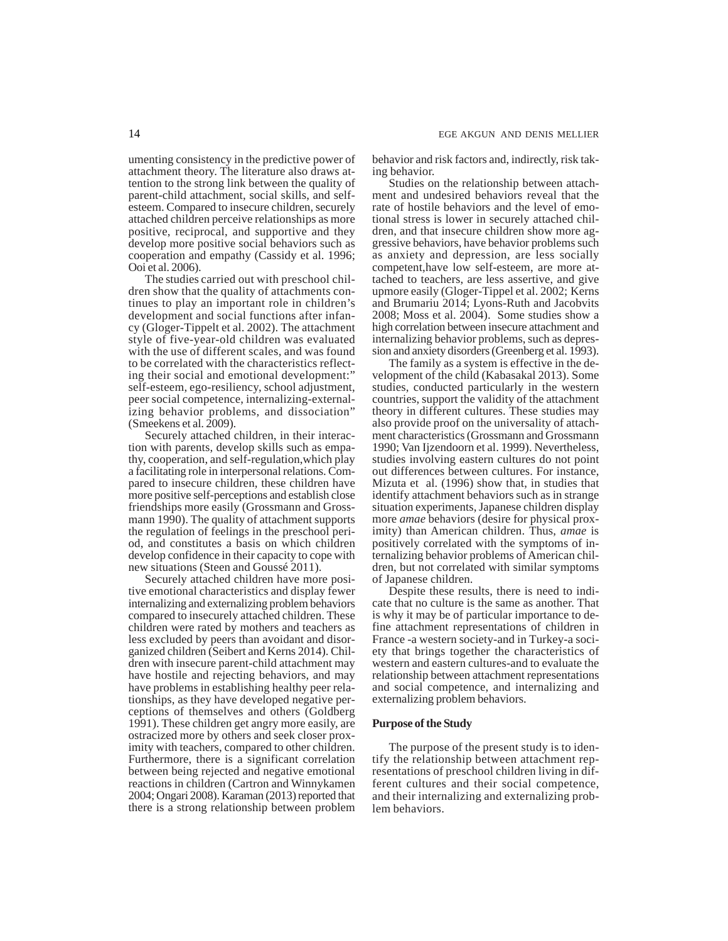umenting consistency in the predictive power of attachment theory. The literature also draws attention to the strong link between the quality of parent-child attachment, social skills, and selfesteem. Compared to insecure children, securely attached children perceive relationships as more positive, reciprocal, and supportive and they develop more positive social behaviors such as cooperation and empathy (Cassidy et al. 1996; Ooi et al. 2006).

The studies carried out with preschool children show that the quality of attachments continues to play an important role in children's development and social functions after infancy (Gloger-Tippelt et al. 2002). The attachment style of five-year-old children was evaluated with the use of different scales, and was found to be correlated with the characteristics reflecting their social and emotional development:" self-esteem, ego-resiliency, school adjustment, peer social competence, internalizing-externalizing behavior problems, and dissociation" (Smeekens et al.  $2009$ ).

Securely attached children, in their interaction with parents, develop skills such as empathy, cooperation, and self-regulation,which play a facilitating role in interpersonal relations. Compared to insecure children, these children have more positive self-perceptions and establish close friendships more easily (Grossmann and Grossmann 1990). The quality of attachment supports the regulation of feelings in the preschool period, and constitutes a basis on which children develop confidence in their capacity to cope with new situations (Steen and Goussé 2011).

Securely attached children have more positive emotional characteristics and display fewer internalizing and externalizing problem behaviors compared to insecurely attached children. These children were rated by mothers and teachers as less excluded by peers than avoidant and disorganized children (Seibert and Kerns 2014). Children with insecure parent-child attachment may have hostile and rejecting behaviors, and may have problems in establishing healthy peer relationships, as they have developed negative perceptions of themselves and others (Goldberg 1991). These children get angry more easily, are ostracized more by others and seek closer proximity with teachers, compared to other children. Furthermore, there is a significant correlation between being rejected and negative emotional reactions in children (Cartron and Winnykamen 2004; Ongari 2008). Karaman (2013) reported that there is a strong relationship between problem behavior and risk factors and, indirectly, risk taking behavior.

Studies on the relationship between attachment and undesired behaviors reveal that the rate of hostile behaviors and the level of emotional stress is lower in securely attached children, and that insecure children show more aggressive behaviors, have behavior problems such as anxiety and depression, are less socially competent,have low self-esteem, are more attached to teachers, are less assertive, and give upmore easily (Gloger-Tippel et al. 2002; Kerns and Brumariu 2014; Lyons-Ruth and Jacobvits 2008; Moss et al. 2004). Some studies show a high correlation between insecure attachment and internalizing behavior problems, such as depression and anxiety disorders (Greenberg et al. 1993).

The family as a system is effective in the development of the child (Kabasakal 2013). Some studies, conducted particularly in the western countries, support the validity of the attachment theory in different cultures. These studies may also provide proof on the universality of attachment characteristics (Grossmann and Grossmann 1990; Van Ijzendoorn et al. 1999). Nevertheless, studies involving eastern cultures do not point out differences between cultures. For instance, Mizuta et al. (1996) show that, in studies that identify attachment behaviors such as in strange situation experiments, Japanese children display more *amae* behaviors (desire for physical proximity) than American children. Thus, *amae* is positively correlated with the symptoms of internalizing behavior problems of American children, but not correlated with similar symptoms of Japanese children.

Despite these results, there is need to indicate that no culture is the same as another. That is why it may be of particular importance to define attachment representations of children in France -a western society-and in Turkey-a society that brings together the characteristics of western and eastern cultures-and to evaluate the relationship between attachment representations and social competence, and internalizing and externalizing problem behaviors.

## **Purpose of the Study**

The purpose of the present study is to identify the relationship between attachment representations of preschool children living in different cultures and their social competence, and their internalizing and externalizing problem behaviors.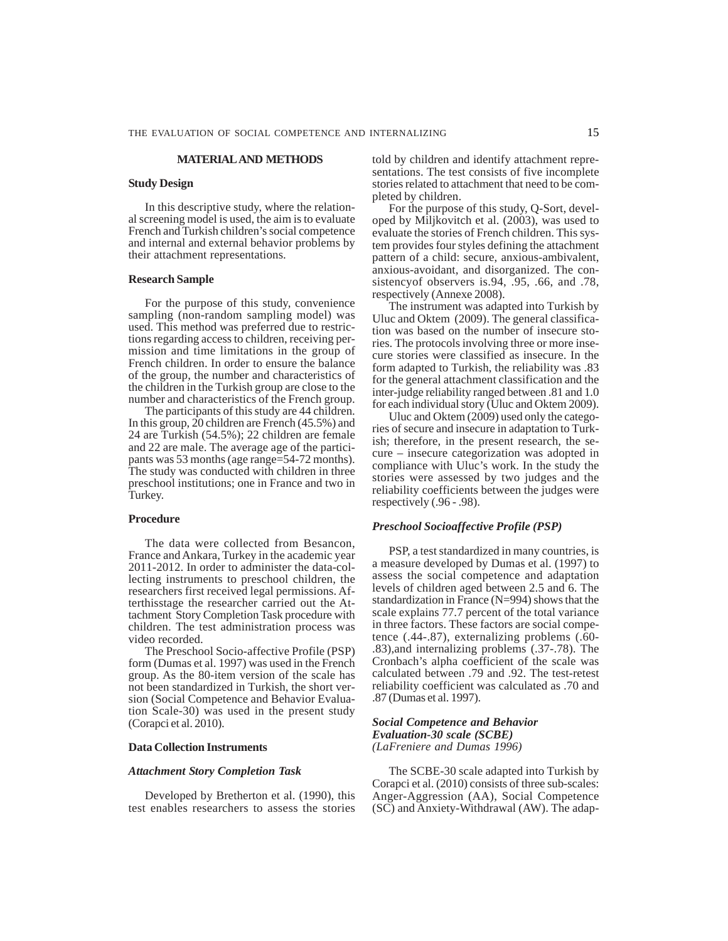#### **MATERIAL AND METHODS**

## **Study Design**

In this descriptive study, where the relational screening model is used, the aim is to evaluate French and Turkish children's social competence and internal and external behavior problems by their attachment representations.

## **Research Sample**

For the purpose of this study, convenience sampling (non-random sampling model) was used. This method was preferred due to restrictions regarding access to children, receiving permission and time limitations in the group of French children. In order to ensure the balance of the group, the number and characteristics of the children in the Turkish group are close to the number and characteristics of the French group.

The participants of this study are 44 children. In this group, 20 children are French (45.5%) and 24 are Turkish (54.5%); 22 children are female and 22 are male. The average age of the participants was 53 months (age range=54-72 months). The study was conducted with children in three preschool institutions; one in France and two in Turkey.

### **Procedure**

The data were collected from Besancon, France and Ankara, Turkey in the academic year 2011-2012. In order to administer the data-collecting instruments to preschool children, the researchers first received legal permissions. Afterthisstage the researcher carried out the Attachment Story Completion Task procedure with children. The test administration process was video recorded.

The Preschool Socio-affective Profile (PSP) form (Dumas et al. 1997) was used in the French group. As the 80-item version of the scale has not been standardized in Turkish, the short version (Social Competence and Behavior Evaluation Scale-30) was used in the present study (Corapci et al. 2010).

## **Data Collection Instruments**

## *Attachment Story Completion Task*

Developed by Bretherton et al. (1990), this test enables researchers to assess the stories told by children and identify attachment representations. The test consists of five incomplete stories related to attachment that need to be completed by children.

For the purpose of this study, Q-Sort, developed by Miljkovitch et al. (2003), was used to evaluate the stories of French children. This system provides four styles defining the attachment pattern of a child: secure, anxious-ambivalent, anxious-avoidant, and disorganized. The consistencyof observers is.94, .95, .66, and .78, respectively (Annexe 2008).

The instrument was adapted into Turkish by Uluc and Oktem (2009). The general classification was based on the number of insecure stories. The protocols involving three or more insecure stories were classified as insecure. In the form adapted to Turkish, the reliability was .83 for the general attachment classification and the inter-judge reliability ranged between .81 and 1.0 for each individual story (Uluc and Oktem 2009).

Uluc and Oktem (2009) used only the categories of secure and insecure in adaptation to Turkish; therefore, in the present research, the secure – insecure categorization was adopted in compliance with Uluc's work. In the study the stories were assessed by two judges and the reliability coefficients between the judges were respectively (.96 - .98).

#### *Preschool Socioaffective Profile (PSP)*

PSP, a test standardized in many countries, is a measure developed by Dumas et al. (1997) to assess the social competence and adaptation levels of children aged between 2.5 and 6. The standardization in France (N=994) shows that the scale explains 77.7 percent of the total variance in three factors. These factors are social competence (.44-.87), externalizing problems (.60- .83),and internalizing problems (.37-.78). The Cronbach's alpha coefficient of the scale was calculated between .79 and .92. The test-retest reliability coefficient was calculated as .70 and .87 (Dumas et al. 1997).

## *Social Competence and Behavior Evaluation-30 scale (SCBE) (LaFreniere and Dumas 1996)*

The SCBE-30 scale adapted into Turkish by Corapci et al. (2010) consists of three sub-scales: Anger-Aggression (AA), Social Competence (SC) and Anxiety-Withdrawal (AW). The adap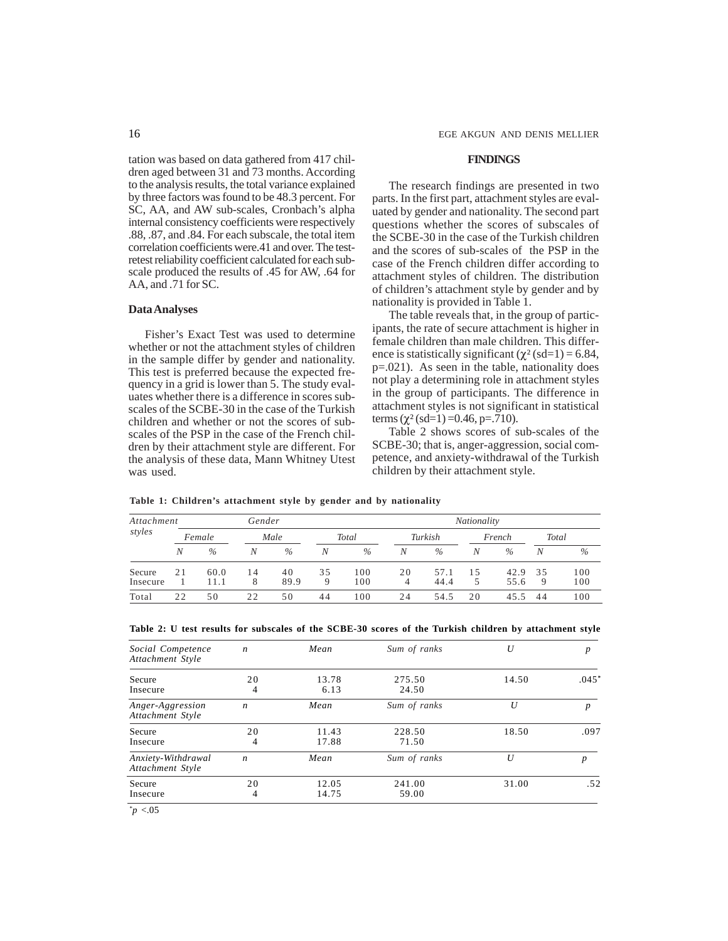tation was based on data gathered from 417 children aged between 31 and 73 months. According to the analysis results, the total variance explained by three factors was found to be 48.3 percent. For SC, AA, and AW sub-scales, Cronbach's alpha internal consistency coefficients were respectively .88, .87, and .84. For each subscale, the total item correlation coefficients were.41 and over. The testretest reliability coefficient calculated for each subscale produced the results of .45 for AW, .64 for AA, and .71 for SC.

## **Data Analyses**

Fisher's Exact Test was used to determine whether or not the attachment styles of children in the sample differ by gender and nationality. This test is preferred because the expected frequency in a grid is lower than 5. The study evaluates whether there is a difference in scores subscales of the SCBE-30 in the case of the Turkish children and whether or not the scores of subscales of the PSP in the case of the French children by their attachment style are different. For the analysis of these data, Mann Whitney Utest was used.

## **FINDINGS**

The research findings are presented in two parts. In the first part, attachment styles are evaluated by gender and nationality. The second part questions whether the scores of subscales of the SCBE-30 in the case of the Turkish children and the scores of sub-scales of the PSP in the case of the French children differ according to attachment styles of children. The distribution of children's attachment style by gender and by nationality is provided in Table 1.

The table reveals that, in the group of participants, the rate of secure attachment is higher in female children than male children. This difference is statistically significant ( $\chi^2$  (sd=1) = 6.84, p=.021). As seen in the table, nationality does not play a determining role in attachment styles in the group of participants. The difference in attachment styles is not significant in statistical terms  $(\chi^2 \text{ (sd=1)} = 0.46, \text{ p=}.710)$ .

Table 2 shows scores of sub-scales of the SCBE-30; that is, anger-aggression, social competence, and anxiety-withdrawal of the Turkish children by their attachment style.

**Table 1: Children's attachment style by gender and by nationality**

| Attachment |    | Gender |      |      |       | Nationality |                |      |        |      |       |      |
|------------|----|--------|------|------|-------|-------------|----------------|------|--------|------|-------|------|
| styles     |    | Female | Male |      | Total |             | Turkish        |      | French |      | Total |      |
|            | N  | $\%$   | Ν    | $\%$ | N     | $\%$        | N              | $\%$ | N      | $\%$ | N     | $\%$ |
| Secure     | 21 | 60.0   | 14   | 40   | 35    | 100         | 20             | 57.1 | 15     | 42.9 | 35    | 100  |
| Insecure   |    | 11.1   | 8    | 89.9 | 9     | 100         | $\overline{4}$ | 44.4 | 5      | 55.6 | 9     | 100  |
| Total      | 22 | 50     | 22   | 50   | 44    | 100         | 24             | 54.5 | 20     | 45.5 | 44    | 100  |

| Table 2: U test results for subscales of the SCBE-30 scores of the Turkish children by attachment style |
|---------------------------------------------------------------------------------------------------------|
|---------------------------------------------------------------------------------------------------------|

| Social Competence<br>Attachment Style  | $\boldsymbol{n}$ | Mean           | Sum of ranks    | U     | p                |
|----------------------------------------|------------------|----------------|-----------------|-------|------------------|
| Secure<br>Insecure                     | 20<br>4          | 13.78<br>6.13  | 275.50<br>24.50 | 14.50 | $.045*$          |
| Anger-Aggression<br>Attachment Style   | $\boldsymbol{n}$ | Mean           | Sum of ranks    | U     | $\boldsymbol{p}$ |
| Secure<br>Insecure                     | 20<br>4          | 11.43<br>17.88 | 228.50<br>71.50 | 18.50 | .097             |
| Anxiety-Withdrawal<br>Attachment Style | $\boldsymbol{n}$ | Mean           | Sum of ranks    | U     | p                |
| Secure<br>Insecure                     | 20<br>4          | 12.05<br>14.75 | 241.00<br>59.00 | 31.00 | .52              |

 $^{*}p \, < 05$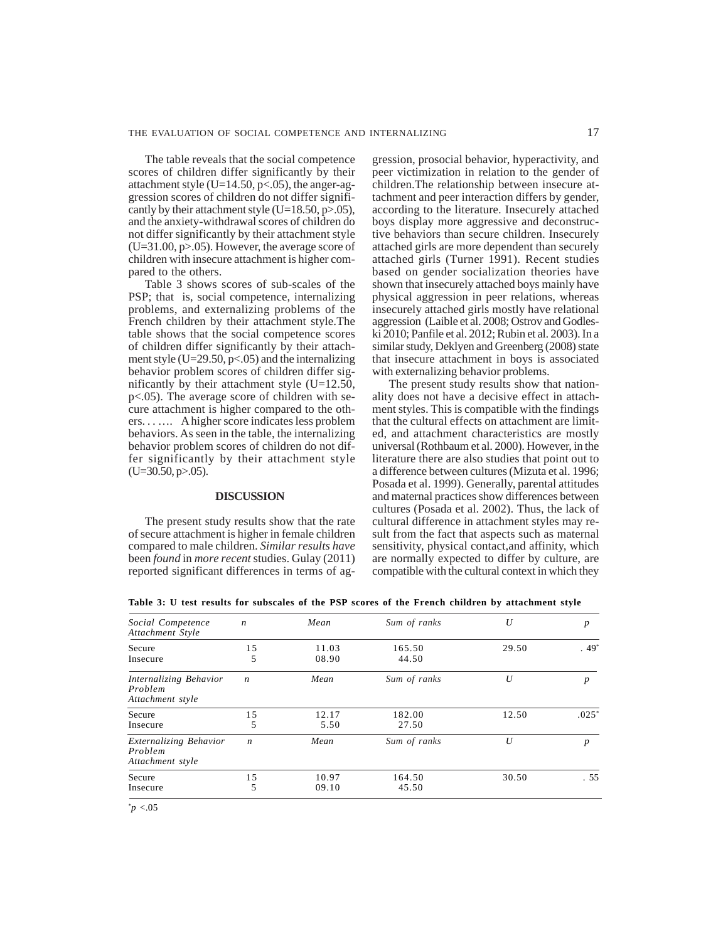The table reveals that the social competence scores of children differ significantly by their attachment style (U=14.50,  $p<0.05$ ), the anger-aggression scores of children do not differ significantly by their attachment style  $(U=18.50, p>0.05)$ , and the anxiety-withdrawal scores of children do not differ significantly by their attachment style  $(U=31.00, p>0.05)$ . However, the average score of children with insecure attachment is higher compared to the others.

Table 3 shows scores of sub-scales of the PSP; that is, social competence, internalizing problems, and externalizing problems of the French children by their attachment style.The table shows that the social competence scores of children differ significantly by their attachment style (U=29.50,  $p<0.05$ ) and the internalizing behavior problem scores of children differ significantly by their attachment style  $(U=12.50,$ p<.05). The average score of children with secure attachment is higher compared to the others. . . …. A higher score indicates less problem behaviors. As seen in the table, the internalizing behavior problem scores of children do not differ significantly by their attachment style  $(U=30.50, p>0.05)$ .

#### **DISCUSSION**

The present study results show that the rate of secure attachment is higher in female children compared to male children. *Similar results have* been *found* in *more recent* studies. Gulay (2011) reported significant differences in terms of aggression, prosocial behavior, hyperactivity, and peer victimization in relation to the gender of children.The relationship between insecure attachment and peer interaction differs by gender, according to the literature. Insecurely attached boys display more aggressive and deconstructive behaviors than secure children. Insecurely attached girls are more dependent than securely attached girls (Turner 1991). Recent studies based on gender socialization theories have shown that insecurely attached boys mainly have physical aggression in peer relations, whereas insecurely attached girls mostly have relational aggression (Laible et al. 2008; Ostrov and Godleski 2010; Panfile et al. 2012; Rubin et al. 2003). In a similar study, Deklyen and Greenberg (2008) state that insecure attachment in boys is associated with externalizing behavior problems.

The present study results show that nationality does not have a decisive effect in attachment styles. This is compatible with the findings that the cultural effects on attachment are limited, and attachment characteristics are mostly universal (Rothbaum et al. 2000). However, in the literature there are also studies that point out to a difference between cultures (Mizuta et al. 1996; Posada et al. 1999). Generally, parental attitudes and maternal practices show differences between cultures (Posada et al. 2002). Thus, the lack of cultural difference in attachment styles may result from the fact that aspects such as maternal sensitivity, physical contact,and affinity, which are normally expected to differ by culture, are compatible with the cultural context in which they

**Table 3: U test results for subscales of the PSP scores of the French children by attachment style**

| Social Competence<br>Attachment Style                 | $\boldsymbol{n}$ | Mean           | Sum of ranks    | U     | $\boldsymbol{p}$ |
|-------------------------------------------------------|------------------|----------------|-----------------|-------|------------------|
| Secure<br>Insecure                                    | 15<br>5          | 11.03<br>08.90 | 165.50<br>44.50 | 29.50 | $.49*$           |
| Internalizing Behavior<br>Problem<br>Attachment style | $\boldsymbol{n}$ | Mean           | Sum of ranks    | U     | $\boldsymbol{p}$ |
| Secure<br>Insecure                                    | 15<br>5          | 12.17<br>5.50  | 182.00<br>27.50 | 12.50 | $.025*$          |
| Externalizing Behavior<br>Problem<br>Attachment style | $\boldsymbol{n}$ | Mean           | Sum of ranks    | U     | $\boldsymbol{p}$ |
| Secure<br>Insecure                                    | 15<br>5          | 10.97<br>09.10 | 164.50<br>45.50 | 30.50 | .55              |

 $^{*}p \, < 05$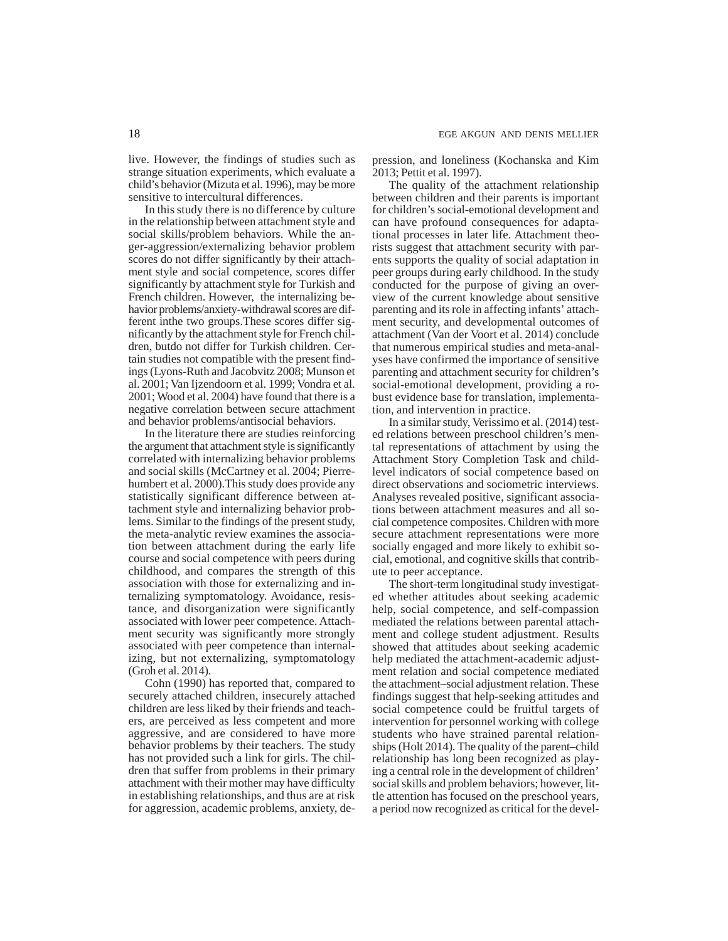live. However, the findings of studies such as strange situation experiments, which evaluate a child's behavior (Mizuta et al. 1996), may be more sensitive to intercultural differences.

In this study there is no difference by culture in the relationship between attachment style and social skills/problem behaviors. While the anger-aggression/externalizing behavior problem scores do not differ significantly by their attachment style and social competence, scores differ significantly by attachment style for Turkish and French children. However, the internalizing behavior problems/anxiety-withdrawal scores are different inthe two groups.These scores differ significantly by the attachment style for French children, butdo not differ for Turkish children. Certain studies not compatible with the present findings (Lyons-Ruth and Jacobvitz 2008; Munson et al. 2001; Van Ijzendoorn et al. 1999; Vondra et al. 2001; Wood et al. 2004) have found that there is a negative correlation between secure attachment and behavior problems/antisocial behaviors.

In the literature there are studies reinforcing the argument that attachment style is significantly correlated with internalizing behavior problems and social skills (McCartney et al. 2004; Pierrehumbert et al. 2000).This study does provide any statistically significant difference between attachment style and internalizing behavior problems. Similar to the findings of the present study, the meta-analytic review examines the association between attachment during the early life course and social competence with peers during childhood, and compares the strength of this association with those for externalizing and internalizing symptomatology. Avoidance, resistance, and disorganization were significantly associated with lower peer competence. Attachment security was significantly more strongly associated with peer competence than internalizing, but not externalizing, symptomatology (Groh et al. 2014).

Cohn (1990) has reported that, compared to securely attached children, insecurely attached children are less liked by their friends and teachers, are perceived as less competent and more aggressive, and are considered to have more behavior problems by their teachers. The study has not provided such a link for girls. The children that suffer from problems in their primary attachment with their mother may have difficulty in establishing relationships, and thus are at risk for aggression, academic problems, anxiety, depression, and loneliness (Kochanska and Kim 2013; Pettit et al. 1997).

The quality of the attachment relationship between children and their parents is important for children's social-emotional development and can have profound consequences for adaptational processes in later life. Attachment theorists suggest that attachment security with parents supports the quality of social adaptation in peer groups during early childhood. In the study conducted for the purpose of giving an overview of the current knowledge about sensitive parenting and its role in affecting infants' attachment security, and developmental outcomes of attachment (Van der Voort et al. 2014) conclude that numerous empirical studies and meta-analyses have confirmed the importance of sensitive parenting and attachment security for children's social-emotional development, providing a robust evidence base for translation, implementation, and intervention in practice.

In a similar study, Verissimo et al. (2014) tested relations between preschool children's mental representations of attachment by using the Attachment Story Completion Task and childlevel indicators of social competence based on direct observations and sociometric interviews. Analyses revealed positive, significant associations between attachment measures and all social competence composites. Children with more secure attachment representations were more socially engaged and more likely to exhibit social, emotional, and cognitive skills that contribute to peer acceptance.

The short-term longitudinal study investigated whether attitudes about seeking academic help, social competence, and self-compassion mediated the relations between parental attachment and college student adjustment. Results showed that attitudes about seeking academic help mediated the attachment-academic adjustment relation and social competence mediated the attachment–social adjustment relation. These findings suggest that help-seeking attitudes and social competence could be fruitful targets of intervention for personnel working with college students who have strained parental relationships (Holt 2014). The quality of the parent–child relationship has long been recognized as playing a central role in the development of children' social skills and problem behaviors; however, little attention has focused on the preschool years, a period now recognized as critical for the devel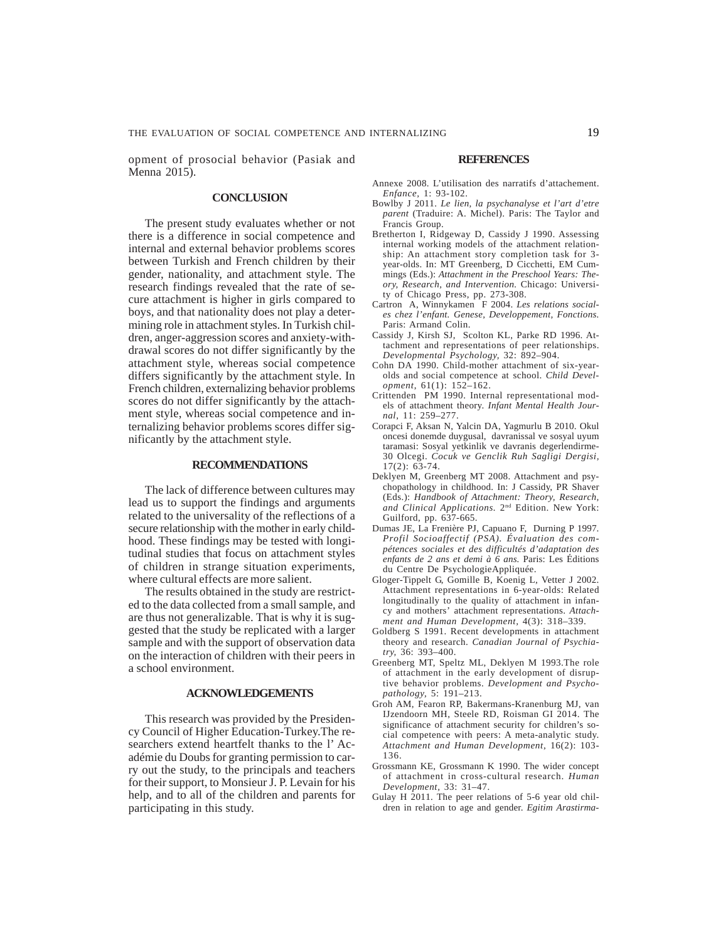opment of prosocial behavior (Pasiak and Menna 2015).

## **CONCLUSION**

The present study evaluates whether or not there is a difference in social competence and internal and external behavior problems scores between Turkish and French children by their gender, nationality, and attachment style. The research findings revealed that the rate of secure attachment is higher in girls compared to boys, and that nationality does not play a determining role in attachment styles. In Turkish children, anger-aggression scores and anxiety-withdrawal scores do not differ significantly by the attachment style, whereas social competence differs significantly by the attachment style. In French children, externalizing behavior problems scores do not differ significantly by the attachment style, whereas social competence and internalizing behavior problems scores differ significantly by the attachment style.

## **RECOMMENDATIONS**

The lack of difference between cultures may lead us to support the findings and arguments related to the universality of the reflections of a secure relationship with the mother in early childhood. These findings may be tested with longitudinal studies that focus on attachment styles of children in strange situation experiments, where cultural effects are more salient.

The results obtained in the study are restricted to the data collected from a small sample, and are thus not generalizable. That is why it is suggested that the study be replicated with a larger sample and with the support of observation data on the interaction of children with their peers in a school environment.

## **ACKNOWLEDGEMENTS**

This research was provided by the Presidency Council of Higher Education-Turkey.The researchers extend heartfelt thanks to the l' Académie du Doubs for granting permission to carry out the study, to the principals and teachers for their support, to Monsieur J. P. Levain for his help, and to all of the children and parents for participating in this study.

#### **REFERENCES**

- Annexe 2008. L'utilisation des narratifs d'attachement. *Enfance,* 1: 93-102.
- Bowlby J 2011. *Le lien, la psychanalyse et l'art d'etre parent* (Traduire: A. Michel). Paris: The Taylor and Francis Group.
- Bretherton I, Ridgeway D, Cassidy J 1990. Assessing internal working models of the attachment relationship: An attachment story completion task for 3 year-olds. In: MT Greenberg, D Cicchetti, EM Cummings (Eds.): *Attachment in the Preschool Years: Theory, Research, and Intervention.* Chicago: University of Chicago Press, pp. 273-308.
- Cartron A, Winnykamen F 2004. *Les relations sociales chez l'enfant. Genese, Developpement, Fonctions.* Paris: Armand Colin.
- Cassidy J, Kirsh SJ, Scolton KL, Parke RD 1996. Attachment and representations of peer relationships. *Developmental Psychology,* 32: 892–904.
- Cohn DA 1990. Child-mother attachment of six-yearolds and social competence at school. *Child Development*, 61(1): 152–162.
- Crittenden PM 1990. Internal representational models of attachment theory. *Infant Mental Health Journal*, 11: 259–277.
- Corapci F, Aksan N, Yalcin DA, Yagmurlu B 2010. Okul oncesi donemde duygusal, davranissal ve sosyal uyum taramasi: Sosyal yetkinlik ve davranis degerlendirme-30 Olcegi. *Cocuk ve Genclik Ruh Sagligi Dergisi,* 17(2): 63-74.
- Deklyen M, Greenberg MT 2008. Attachment and psychopathology in childhood. In: J Cassidy, PR Shaver (Eds.): *Handbook of Attachment: Theory, Research, and Clinical Applications.* 2nd Edition. New York: Guilford, pp. 637-665.
- Dumas JE, La Frenière PJ, Capuano F, Durning P 1997. *Profil Socioaffectif (PSA). Évaluation des compétences sociales et des difficultés d'adaptation des enfants de 2 ans et demi à 6 ans.* Paris: Les Éditions du Centre De PsychologieAppliquée.
- Gloger-Tippelt G, Gomille B, Koenig L, Vetter J 2002. Attachment representations in 6-year-olds: Related longitudinally to the quality of attachment in infancy and mothers' attachment representations. *Attachment and Human Development,* 4(3): 318–339.
- Goldberg S 1991. Recent developments in attachment theory and research. *Canadian Journal of Psychiatry,* 36: 393–400.
- Greenberg MT, Speltz ML, Deklyen M 1993.The role of attachment in the early development of disruptive behavior problems. *Development and Psychopathology,* 5: 191–213.
- Groh AM, Fearon RP, Bakermans-Kranenburg MJ, van IJzendoorn MH, Steele RD, Roisman GI 2014. The significance of attachment security for children's social competence with peers: A meta-analytic study. *Attachment and Human Development*, 16(2): 103- 136.
- Grossmann KE, Grossmann K 1990. The wider concept of attachment in cross-cultural research. *Human Development,* 33: 31–47.
- Gulay H 2011. The peer relations of 5-6 year old children in relation to age and gender. *Egitim Arastirma-*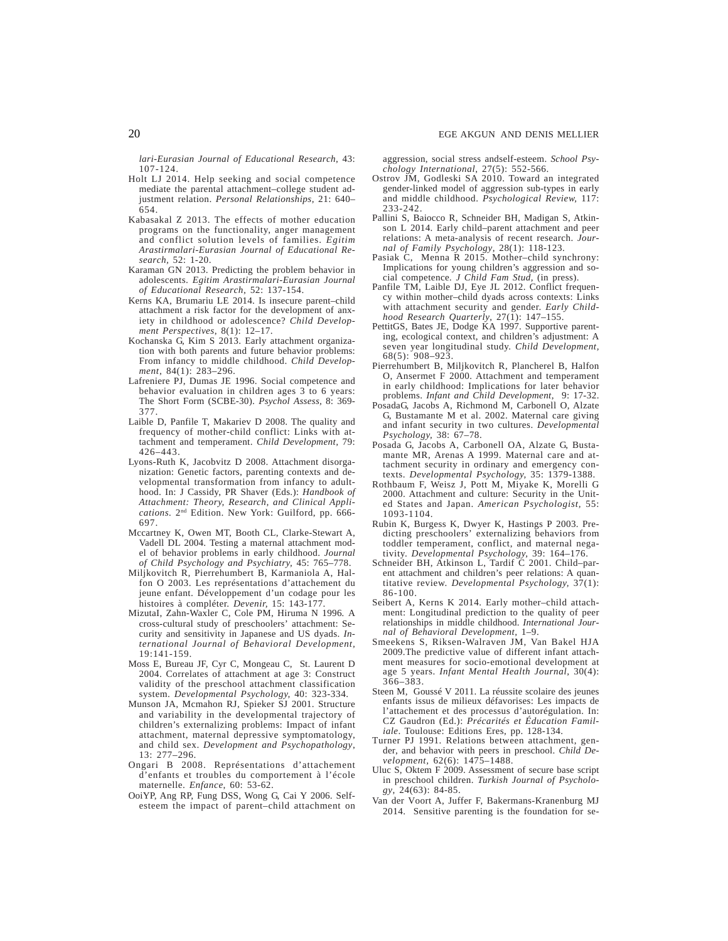*lari-Eurasian Journal of Educational Research*, 43: 107-124.

- Holt LJ 2014. Help seeking and social competence mediate the parental attachment–college student adjustment relation. *Personal Relationships*, 21: 640– 654.
- Kabasakal Z 2013. The effects of mother education programs on the functionality, anger management and conflict solution levels of families. *Egitim Arastirmalari-Eurasian Journal of Educational Research,* 52: 1-20.
- Karaman GN 2013. Predicting the problem behavior in adolescents. *Egitim Arastirmalari-Eurasian Journal of Educational Research*, 52: 137-154.
- Kerns KA, Brumariu LE 2014. Is insecure parent–child attachment a risk factor for the development of anxiety in childhood or adolescence? *Child Development Perspectives*, 8(1): 12–17.
- Kochanska G, Kim S 2013. Early attachment organization with both parents and future behavior problems: From infancy to middle childhood. *Child Development*, 84(1): 283–296.
- Lafreniere PJ, Dumas JE 1996. Social competence and behavior evaluation in children ages 3 to 6 years: The Short Form (SCBE-30). *Psychol Assess,* 8: 369- 377.
- Laible D, Panfile T, Makariev D 2008. The quality and frequency of mother-child conflict: Links with attachment and temperament. *Child Development,* 79: 426–443.
- Lyons-Ruth K, Jacobvitz D 2008. Attachment disorganization: Genetic factors, parenting contexts and developmental transformation from infancy to adulthood. In: J Cassidy, PR Shaver (Eds.): *Handbook of Attachment: Theory, Research, and Clinical Applications.* 2nd Edition. New York: Guilford, pp. 666- 697.
- Mccartney K, Owen MT, Booth CL, Clarke-Stewart A, Vadell DL 2004. Testing a maternal attachment model of behavior problems in early childhood. *Journal of Child Psychology and Psychiatry,* 45: 765–778.
- Miljkovitch R, Pierrehumbert B, Karmaniola A, Halfon O 2003. Les représentations d'attachement du jeune enfant. Développement d'un codage pour les histoires à compléter. *Devenir,* 15: 143-177.
- MizutaI, Zahn-Waxler C, Cole PM, Hiruma N 1996*.* A cross-cultural study of preschoolers' attachment: Security and sensitivity in Japanese and US dyads. *International Journal of Behavioral Development,* 19:141-159.
- Moss E, Bureau JF, Cyr C, Mongeau C, St. Laurent D 2004. Correlates of attachment at age 3: Construct validity of the preschool attachment classification system. *Developmental Psychology,* 40: 323-334.
- Munson JA, Mcmahon RJ, Spieker SJ 2001. Structure and variability in the developmental trajectory of children's externalizing problems: Impact of infant attachment, maternal depressive symptomatology, and child sex. *Development and Psychopathology*, 13: 277–296.
- Ongari B 2008. Représentations d'attachement d'enfants et troubles du comportement à l'école maternelle. *Enfance*, 60: 53-62.
- OoiYP, Ang RP, Fung DSS, Wong G, Cai Y 2006. Selfesteem the impact of parent–child attachment on

aggression, social stress andself-esteem. *School Psychology International*, 27(5): 552-566.

- Ostrov JM, Godleski SA 2010. Toward an integrated gender-linked model of aggression sub-types in early and middle childhood. *Psychological Review,* 117: 233-242.
- Pallini S, Baiocco R, Schneider BH, Madigan S, Atkinson L 2014. Early child–parent attachment and peer relations: A meta-analysis of recent research. *Journal of Family Psychology*, 28(1): 118-123.
- Pasiak C, Menna R 2015. Mother–child synchrony: Implications for young children's aggression and social competence*. J Child Fam Stud,* (in press).
- Panfile TM, Laible DJ, Eye JL 2012. Conflict frequency within mother–child dyads across contexts: Links with attachment security and gender. *Early Childhood Research Quarterly*, 27(1): 147–155.
- PettitGS, Bates JE, Dodge KA 1997. Supportive parenting, ecological context, and children's adjustment: A seven year longitudinal study. *Child Development,* 68(5): 908–923.
- Pierrehumbert B, Miljkovitch R, Plancherel B, Halfon O, Ansermet F 2000. Attachment and temperament in early childhood: Implications for later behavior problems. *Infant and Child Development*, 9: 17-32.
- PosadaG, Jacobs A, Richmond M, Carbonell O, Alzate G, Bustamante M et al. 2002. Maternal care giving and infant security in two cultures. *Developmental Psychology,* 38: 67–78.
- Posada G, Jacobs A, Carbonell OA, Alzate G, Bustamante MR, Arenas A 1999. Maternal care and attachment security in ordinary and emergency contexts. *Developmental Psychology,* 35: 1379-1388.
- Rothbaum F, Weisz J, Pott M, Miyake K, Morelli G 2000. Attachment and culture: Security in the United States and Japan. *American Psychologist,* 55: 1093-1104.
- Rubin K, Burgess K, Dwyer K, Hastings P 2003. Predicting preschoolers' externalizing behaviors from toddler temperament, conflict, and maternal negativity. *Developmental Psychology,* 39: 164–176.
- Schneider BH, Atkinson L, Tardif C 2001. Child–parent attachment and children's peer relations: A quantitative review. *Developmental Psychology,* 37(1): 86-100.
- Seibert A, Kerns K 2014. Early mother–child attachment: Longitudinal prediction to the quality of peer relationships in middle childhood. *International Journal of Behavioral Development,* 1–9.
- Smeekens S, Riksen-Walraven JM, Van Bakel HJA 2009.The predictive value of different infant attachment measures for socio-emotional development at age 5 years. *Infant Mental Health Journal,* 30(4): 366–383.
- Steen M, Goussé V 2011. La réussite scolaire des jeunes enfants issus de milieux défavorises: Les impacts de l'attachement et des processus d'autorégulation. In: CZ Gaudron (Ed.): *Précarités et Éducation Familiale*. Toulouse: Editions Eres, pp. 128-134.
- Turner PJ 1991. Relations between attachment, gender, and behavior with peers in preschool. *Child Development,* 62(6): 1475–1488.
- Uluc S, Oktem F 2009. Assessment of secure base script in preschool children. *Turkish Journal of Psychology*, 24(63): 84-85.
- Van der Voort A, Juffer F, Bakermans-Kranenburg MJ 2014. Sensitive parenting is the foundation for se-